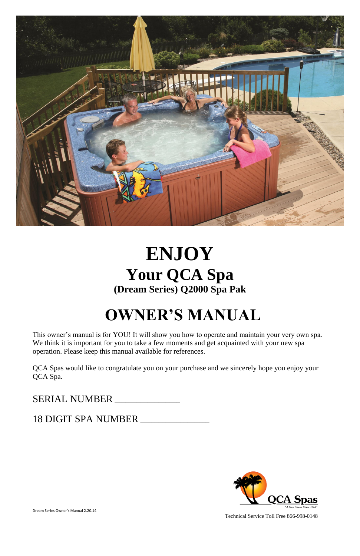

# **ENJOY Your QCA Spa (Dream Series) Q2000 Spa Pak**

# **OWNER'S MANUAL**

This owner's manual is for YOU! It will show you how to operate and maintain your very own spa. We think it is important for you to take a few moments and get acquainted with your new spa operation. Please keep this manual available for references.

QCA Spas would like to congratulate you on your purchase and we sincerely hope you enjoy your QCA Spa.

# SERIAL NUMBER **\_\_\_\_\_\_\_\_\_\_\_\_\_\_\_\_\_\_**

## 18 DIGIT SPA NUMBER **\_\_\_\_\_\_\_\_\_\_\_\_\_\_\_\_\_\_\_**



Dream Series Owner's Manual 2.20.14

Technical Service Toll Free 866-998-0148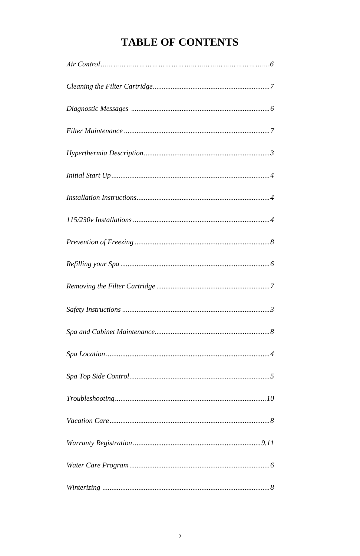# **TABLE OF CONTENTS**

| $\label{eq:1} \textit{Diagnostic Message} s \textit{ } \textit{ } \textit{ } \textit{ } \textit{ } \textit{ } \textit{ } \textit{ } \textit{ } \textit{ } \textit{ } \textit{ } \textit{ } \textit{ }$ |
|--------------------------------------------------------------------------------------------------------------------------------------------------------------------------------------------------------|
|                                                                                                                                                                                                        |
|                                                                                                                                                                                                        |
|                                                                                                                                                                                                        |
|                                                                                                                                                                                                        |
|                                                                                                                                                                                                        |
|                                                                                                                                                                                                        |
|                                                                                                                                                                                                        |
|                                                                                                                                                                                                        |
|                                                                                                                                                                                                        |
|                                                                                                                                                                                                        |
|                                                                                                                                                                                                        |
|                                                                                                                                                                                                        |
|                                                                                                                                                                                                        |

 $\emph{Winterizing} \normalsize\dots \normalsize\dots \normalsize\dots \normalsize\dots \normalsize\dots \normalsize\dots \normalsize\dots \normalsize\dots \normalsize\dots \normalsize\dots \normalsize\dots \normalsize\dots \normalsize\dots \normalsize\dots \normalsize\dots \normalsize\dots \normalsize\dots \normalsize\dots \normalsize\dots \normalsize\dots \normalsize\dots \normalsize\dots \normalsize\dots \normalsize\dots \normalsize\dots \normalsize\dots \normalsize\dots \normalsize\dots \normalsize\dots \normalsize\dots \normalsize\dots \normalsize\dots \normalsize\dots \normalsize\dots \normalsize\dots \norm$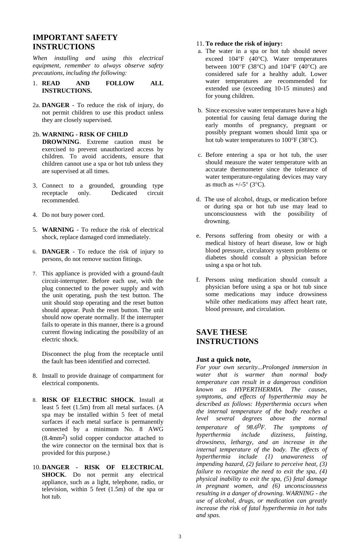## **IMPORTANT SAFETY INSTRUCTIONS**

*When installing and using this electrical equipment, remember to always observe safety precautions, including the following:*

- 1. **READ AND FOLLOW ALL INSTRUCTIONS.**
- 2a. **DANGER** To reduce the risk of injury, do not permit children to use this product unless they are closely supervised.

#### 2b. **WARNING - RISK OF CHILD**

 **DROWNING**. Extreme caution must be exercised to prevent unauthorized access by children. To avoid accidents, ensure that children cannot use a spa or hot tub unless they are supervised at all times.

- 3. Connect to a grounded, grounding type receptacle only. Dedicated circuit recommended.
- 4. Do not bury power cord.
- 5. **WARNING** To reduce the risk of electrical shock, replace damaged cord immediately.
- 6. **DANGER** To reduce the risk of injury to persons, do not remove suction fittings.
- 7. This appliance is provided with a ground-fault circuit-interrupter. Before each use, with the plug connected to the power supply and with the unit operating, push the test button. The unit should stop operating and the reset button should appear. Push the reset button. The unit should now operate normally. If the interrupter fails to operate in this manner, there is a ground current flowing indicating the possibility of an electric shock.

Disconnect the plug from the receptacle until the fault has been identified and corrected.

- 8. Install to provide drainage of compartment for electrical components.
- 8. **RISK OF ELECTRIC SHOCK**. Install at least 5 feet (1.5m) from all metal surfaces. (A

spa may be installed within 5 feet of metal surfaces if each metal surface is permanently connected by a minimum No. 8 AWG (8.4mm2) solid copper conductor attached to the wire connector on the terminal box that is provided for this purpose.)

10. **DANGER - RISK OF ELECTRICAL SHOCK**. Do not permit any electrical appliance, such as a light, telephone, radio, or television, within 5 feet (1.5m) of the spa or hot tub.

#### 11. **To reduce the risk of injury:**

- a. The water in a spa or hot tub should never exceed  $104^{\circ}F$  (40 $^{\circ}C$ ). Water temperatures between  $100^{\circ}F$  (38 $^{\circ}C$ ) and  $104^{\circ}F$  (40 $^{\circ}C$ ) are considered safe for a healthy adult. Lower water temperatures are recommended for extended use (exceeding 10-15 minutes) and for young children.
- b. Since excessive water temperatures have a high potential for causing fetal damage during the early months of pregnancy, pregnant or possibly pregnant women should limit spa or hot tub water temperatures to  $100^{\circ}$ F (38 $^{\circ}$ C).
- c. Before entering a spa or hot tub, the user should measure the water temperature with an accurate thermometer since the tolerance of water temperature-regulating devices may vary as much as  $+/-5^{\circ}$  (3°C).
- d. The use of alcohol, drugs, or medication before or during spa or hot tub use may lead to unconsciousness with the possibility of drowning.
- e. Persons suffering from obesity or with a medical history of heart disease, low or high blood pressure, circulatory system problems or diabetes should consult a physician before using a spa or hot tub.
- f. Persons using medication should consult a physician before using a spa or hot tub since some medications may induce drowsiness while other medications may affect heart rate, blood pressure, and circulation.

## **SAVE THESE INSTRUCTIONS**

#### **Just a quick note,**

*For your own security...Prolonged immersion in water that is warmer than normal body temperature can result in a dangerous condition known as HYPERTHERMIA. The causes, symptoms, and effects of hyperthermia may be described as follows: Hyperthermia occurs when the internal temperature of the body reaches a level several degrees above the normal temperature of 98.60F. The symptoms of hyperthermia include dizziness, fainting, drowsiness, lethargy, and an increase in the internal temperature of the body. The effects of hyperthermia include (1) unawareness of impending hazard, (2) failure to perceive heat, (3) failure to recognize the need to exit the spa, (4) physical inability to exit the spa, (5) fetal damage in pregnant women, and (6) unconsciousness resulting in a danger of drowning. WARNING - the use of alcohol, drugs, or medication can greatly increase the risk of fatal hyperthermia in hot tubs and spas.*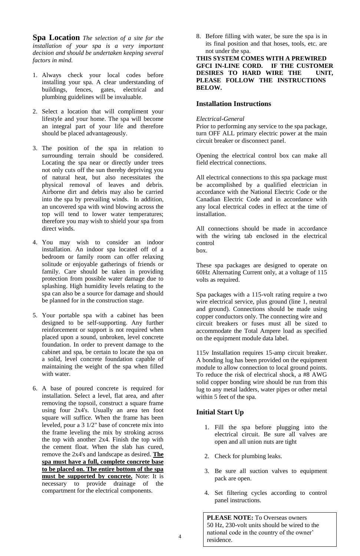**Spa Location** *The selection of a site for the installation of your spa is a very important decision and should be undertaken keeping several factors in mind.*

- 1. Always check your local codes before installing your spa. A clear understanding of buildings, fences, gates, electrical and plumbing guidelines will be invaluable.
- 2. Select a location that will compliment your lifestyle and your home. The spa will become an integral part of your life and therefore should be placed advantageously.
- 3. The position of the spa in relation to surrounding terrain should be considered. Locating the spa near or directly under trees not only cuts off the sun thereby depriving you of natural heat, but also necessitates the physical removal of leaves and debris. Airborne dirt and debris may also be carried into the spa by prevailing winds. In addition, an uncovered spa with wind blowing across the top will tend to lower water temperatures; therefore you may wish to shield your spa from direct winds.
- 4. You may wish to consider an indoor installation. An indoor spa located off of a bedroom or family room can offer relaxing solitude or enjoyable gatherings of friends or family. Care should be taken in providing protection from possible water damage due to splashing. High humidity levels relating to the spa can also be a source for damage and should be planned for in the construction stage.
- 5. Your portable spa with a cabinet has been designed to be self-supporting. Any further reinforcement or support is not required when placed upon a sound, unbroken, level concrete foundation. In order to prevent damage to the cabinet and spa, be certain to locate the spa on a solid, level concrete foundation capable of maintaining the weight of the spa when filled with water.
- 6. A base of poured concrete is required for installation. Select a level, flat area, and after removing the topsoil, construct a square frame

using four 2x4's. Usually an area ten foot square will suffice. When the frame has been leveled, pour a 3 1/2" base of concrete mix into the frame leveling the mix by stroking across the top with another 2x4. Finish the top with the cement float. When the slab has cured, remove the 2x4's and landscape as desired. **The spa must have a full, complete concrete base to be placed on. The entire bottom of the spa must be supported by concrete.** Note: It is necessary to provide drainage of the compartment for the electrical components.

8. Before filling with water, be sure the spa is in its final position and that hoses, tools, etc. are not under the spa.

**THIS SYSTEM COMES WITH A PREWIRED GFCI IN-LINE CORD. IF THE CUSTOMER DESIRES TO HARD WIRE THE UNIT, PLEASE FOLLOW THE INSTRUCTIONS BELOW.**

#### **Installation Instructions**

#### *Electrical-General*

Prior to performing any service to the spa package, turn OFF ALL primary electric power at the main circuit breaker or disconnect panel.

Opening the electrical control box can make all field electrical connections.

All electrical connections to this spa package must be accomplished by a qualified electrician in accordance with the National Electric Code or the Canadian Electric Code and in accordance with any local electrical codes in effect at the time of installation.

All connections should be made in accordance with the wiring tab enclosed in the electrical control box.

These spa packages are designed to operate on 60Hz Alternating Current only, at a voltage of 115 volts as required.

Spa packages with a 115-volt rating require a two wire electrical service, plus ground (line 1, neutral and ground). Connections should be made using copper conductors only. The connecting wire and circuit breakers or fuses must all be sized to accommodate the Total Ampere load as specified on the equipment module data label.

115v Installation requires 15-amp circuit breaker. A bonding lug has been provided on the equipment module to allow connection to local ground points. To reduce the risk of electrical shock, a #8 AWG solid copper bonding wire should be run from this lug to any metal ladders, water pipes or other metal within 5 feet of the spa.

#### **Initial Start Up**

- 1. Fill the spa before plugging into the electrical circuit. Be sure all valves are open and all union nuts are tight
- 2. Check for plumbing leaks.
- 3. Be sure all suction valves to equipment pack are open.
- 4. Set filtering cycles according to control panel instructions.

**PLEASE NOTE:** To Overseas owners 50 Hz, 230-volt units should be wired to the national code in the country of the owner' residence.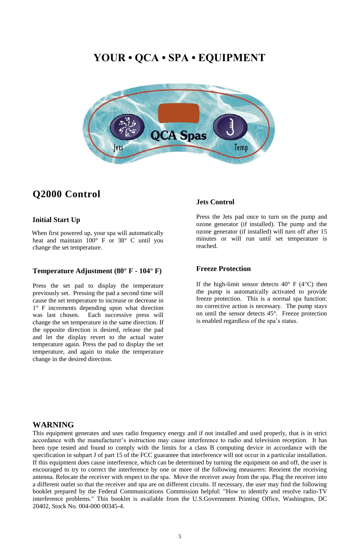# **Q2000 Control**

#### **Initial Start Up**

 When first powered up, your spa will automatically heat and maintain 100° F or 38° C until you change the set temperature.

#### **Temperature Adjustment (80° F - 104° F)**

Press the set pad to display the temperature previously set. Pressing the pad a second time will cause the set temperature to increase or decrease in 1° F increments depending upon what direction was last chosen. Each successive press will change the set temperature in the same direction. If the opposite direction is desired, release the pad and let the display revert to the actual water temperature again. Press the pad to display the set temperature, and again to make the temperature change in the desired direction.

If the high-limit sensor detects  $40^{\circ}$  F (4 $^{\circ}$ C) then the pump is automatically activated to provide freeze protection. This is a normal spa function: no corrective action is necessary. The pump stays on until the sensor detects 45°. Freeze protection is enabled regardless of the spa's status.

#### **Jets Control**

Press the Jets pad once to turn on the pump and ozone generator (if installed). The pump and the ozone generator (if installed) will turn off after 15 minutes or will run until set temperature is reached.

#### **Freeze Protection**

## **WARNING**

This equipment generates and uses radio frequency energy and if not installed and used properly, that is in strict accordance with the manufacturer's instruction may cause interference to radio and television reception. It has been type tested and found to comply with the limits for a class B computing device in accordance with the specification in subpart J of part 15 of the FCC guarantee that interference will not occur in a particular installation. If this equipment does cause interference, which can be determined by turning the equipment on and off, the user is encouraged to try to correct the interference by one or more of the following measurers: Reorient the receiving antenna. Relocate the receiver with respect to the spa. Move the receiver away from the spa. Plug the receiver into a different outlet so that the receiver and spa are on different circuits. If necessary, the user may find the following booklet prepared by the Federal Communications Commission helpful: "How to identify and resolve radio-TV interference problems." This booklet is available from the U.S.Government Printing Office, Washington, DC 20402, Stock No. 004-000 00345-4.

# **YOUR • QCA • SPA • EQUIPMENT**

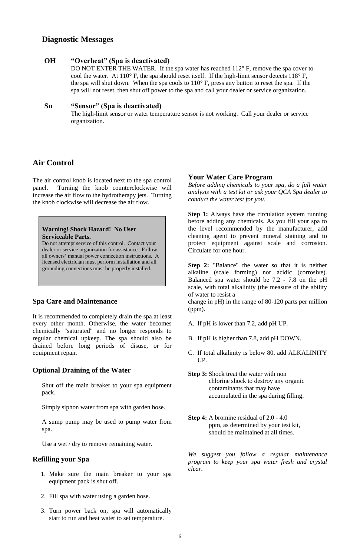## **Air Control**

The air control knob is located next to the spa control panel. Turning the knob counterclockwise will increase the air flow to the hydrotherapy jets. Turning the knob clockwise will decrease the air flow.

## **Spa Care and Maintenance**

It is recommended to completely drain the spa at least every other month. Otherwise, the water becomes chemically "saturated" and no longer responds to regular chemical upkeep. The spa should also be drained before long periods of disuse, or for equipment repair.

#### **Optional Draining of the Water**

Shut off the main breaker to your spa equipment pack.

Simply siphon water from spa with garden hose.

A sump pump may be used to pump water from spa.

Use a wet / dry to remove remaining water.

**Step 1:** Always have the circulation system running before adding any chemicals. As you fill your spa to the level recommended by the manufacturer, add cleaning agent to prevent mineral staining and to protect equipment against scale and corrosion. Circulate for one hour.

## **Refilling your Spa**

- 1. Make sure the main breaker to your spa equipment pack is shut off.
- 2. Fill spa with water using a garden hose.
- 3. Turn power back on, spa will automatically start to run and heat water to set temperature.

#### **Your Water Care Program**

*Before adding chemicals to your spa, do a full water analysis with a test kit or ask your QCA Spa dealer to conduct the water test for you.*

**Step 2:** "Balance" the water so that it is neither alkaline (scale forming) nor acidic (corrosive). Balanced spa water should be 7.2 - 7.8 on the pH scale, with total alkalinity (the measure of the ability of water to resist a

change in pH) in the range of 80-120 parts per million (ppm).

- A. If pH is lower than 7.2, add pH UP.
- B. If pH is higher than 7.8, add pH DOWN.
- C. If total alkalinity is below 80, add ALKALINITY UP.
- **Step 3:** Shock treat the water with non chlorine shock to destroy any organic contaminants that may have accumulated in the spa during filling.

**Step 4:** A bromine residual of 2.0 - 4.0 ppm, as determined by your test kit, should be maintained at all times.

*We suggest you follow a regular maintenance program to keep your spa water fresh and crystal clear.*

## **Diagnostic Messages**

#### **OH "Overheat" (Spa is deactivated)**

DO NOT ENTER THE WATER. If the spa water has reached 112° F, remove the spa cover to cool the water. At  $110^{\circ}$  F, the spa should reset itself. If the high-limit sensor detects  $118^{\circ}$  F, the spa will shut down. When the spa cools to 110° F, press any button to reset the spa. If the spa will not reset, then shut off power to the spa and call your dealer or service organization.

#### **Sn "Sensor" (Spa is deactivated)**

The high-limit sensor or water temperature sensor is not working. Call your dealer or service organization.

#### **Warning! Shock Hazard! No User Serviceable Parts.**

Do not attempt service of this control. Contact your dealer or service organization for assistance. Follow all owners' manual power connection instructions. A licensed electrician must perform installation and all grounding connections must be properly installed.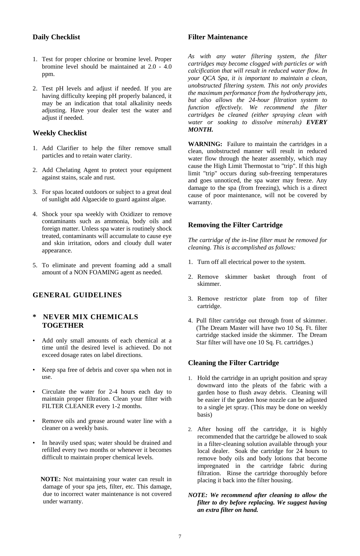## **Daily Checklist**

- 1. Test for proper chlorine or bromine level. Proper bromine level should be maintained at 2.0 - 4.0 ppm.
- 2. Test pH levels and adjust if needed. If you are having difficulty keeping pH properly balanced, it may be an indication that total alkalinity needs adjusting. Have your dealer test the water and adjust if needed.

#### **Weekly Checklist**

- 1. Add Clarifier to help the filter remove small particles and to retain water clarity.
- 2. Add Chelating Agent to protect your equipment against stains, scale and rust.
- 3. For spas located outdoors or subject to a great deal of sunlight add Algaecide to guard against algae.
- 4. Shock your spa weekly with Oxidizer to remove contaminants such as ammonia, body oils and foreign matter. Unless spa water is routinely shock treated, contaminants will accumulate to cause eye and skin irritation, odors and cloudy dull water appearance.
- 5. To eliminate and prevent foaming add a small amount of a NON FOAMING agent as needed.

- Add only small amounts of each chemical at a time until the desired level is achieved. Do not exceed dosage rates on label directions.
- Keep spa free of debris and cover spa when not in use.
- Circulate the water for 2-4 hours each day to maintain proper filtration. Clean your filter with FILTER CLEANER every 1-2 months.

## **GENERAL GUIDELINES**

#### **\* NEVER MIX CHEMICALS TOGETHER**

 **NOTE:** Not maintaining your water can result in damage of your spa jets, filter, etc. This damage, due to incorrect water maintenance is not covered under warranty.

#### **Filter Maintenance**

*As with any water filtering system, the filter cartridges may become clogged with particles or with calcification that will result in reduced water flow. In your QCA Spa, it is important to maintain a clean, unobstructed filtering system. This not only provides the maximum performance from the hydrotherapy jets, but also allows the 24-hour filtration system to function effectively. We recommend the filter cartridges be cleaned (either spraying clean with water or soaking to dissolve minerals) EVERY MONTH.*

- 1. Hold the cartridge in an upright position and spray downward into the pleats of the fabric with a garden hose to flush away debris. Cleaning will be easier if the garden hose nozzle can be adjusted to a single jet spray. (This may be done on weekly
- Remove oils and grease around water line with a cleaner on a weekly basis.
- In heavily used spas; water should be drained and refilled every two months or whenever it becomes difficult to maintain proper chemical levels.

**WARNING:** Failure to maintain the cartridges in a clean, unobstructed manner will result in reduced water flow through the heater assembly, which may cause the High Limit Thermostat to "trip". If this high limit "trip" occurs during sub-freezing temperatures and goes unnoticed, the spa water may freeze. Any damage to the spa (from freezing), which is a direct cause of poor maintenance, will not be covered by warranty.

## **Removing the Filter Cartridge**

*The cartridge of the in-line filter must be removed for cleaning. This is accomplished as follows:*

- 1. Turn off all electrical power to the system.
- 2. Remove skimmer basket through front of skimmer.
- 3. Remove restrictor plate from top of filter cartridge.
- 4. Pull filter cartridge out through front of skimmer. (The Dream Master will have two 10 Sq. Ft. filter cartridge stacked inside the skimmer. The Dream Star filter will have one 10 Sq. Ft. cartridges.)

## **Cleaning the Filter Cartridge**

basis)

- 2. After hosing off the cartridge, it is highly recommended that the cartridge be allowed to soak in a filter-cleaning solution available through your local dealer. Soak the cartridge for 24 hours to remove body oils and body lotions that become impregnated in the cartridge fabric during filtration. Rinse the cartridge thoroughly before placing it back into the filter housing.
- *NOTE: We recommend after cleaning to allow the filter to dry before replacing. We suggest having an extra filter on hand.*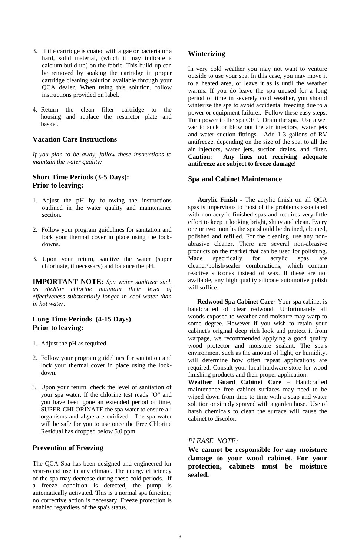- 3. If the cartridge is coated with algae or bacteria or a hard, solid material, (which it may indicate a calcium build-up) on the fabric. This build-up can be removed by soaking the cartridge in proper cartridge cleaning solution available through your QCA dealer. When using this solution, follow instructions provided on label.
- 4. Return the clean filter cartridge to the housing and replace the restrictor plate and basket.

#### **Vacation Care Instructions**

*If you plan to be away, follow these instructions to maintain the water quality:*

#### **Short Time Periods (3-5 Days): Prior to leaving:**

- 1. Adjust the pH by following the instructions outlined in the water quality and maintenance section.
- 2. Follow your program guidelines for sanitation and lock your thermal cover in place using the lockdowns.
- 3. Upon your return, sanitize the water (super chlorinate, if necessary) and balance the pH.

**IMPORTANT NOTE:** *Spa water sanitizer such as dichlor chlorine maintain their level of effectiveness substantially longer in cool water than in hot water.*

#### **Long Time Periods (4-15 Days) Prior to leaving:**

- 1. Adjust the pH as required.
- 2. Follow your program guidelines for sanitation and lock your thermal cover in place using the lockdown.
- 3. Upon your return, check the level of sanitation of your spa water. If the chlorine test reads "O" and you have been gone an extended period of time,

SUPER-CHLORINATE the spa water to ensure all organisms and algae are oxidized. The spa water will be safe for you to use once the Free Chlorine Residual has dropped below 5.0 ppm.

#### **Prevention of Freezing**

The QCA Spa has been designed and engineered for year-round use in any climate. The energy efficiency of the spa may decrease during these cold periods. If a freeze condition is detected, the pump is automatically activated. This is a normal spa function; no corrective action is necessary. Freeze protection is enabled regardless of the spa's status.

## **Winterizing**

In very cold weather you may not want to venture outside to use your spa. In this case, you may move it to a heated area, or leave it as is until the weather warms. If you do leave the spa unused for a long period of time in severely cold weather, you should winterize the spa to avoid accidental freezing due to a power or equipment failure.*.* Follow these easy steps: Turn power to the spa OFF. Drain the spa. Use a wet vac to suck or blow out the air injectors, water jets and water suction fittings. Add 1-3 gallons of RV antifreeze, depending on the size of the spa, to all the air injectors, water jets, suction drains, and filter. **Caution: Any lines not receiving adequate antifreeze are subject to freeze damage!**

#### **Spa and Cabinet Maintenance**

 **Acrylic Finish -** The acrylic finish on all QCA spas is impervious to most of the problems associated with non-acrylic finished spas and requires very little effort to keep it looking bright, shiny and clean. Every one or two months the spa should be drained, cleaned, polished and refilled. For the cleaning, use any nonabrasive cleaner. There are several non-abrasive products on the market that can be used for polishing. Made specifically for acrylic spas are cleaner/polish/sealer combinations, which contain reactive silicones instead of wax. If these are not available, any high quality silicone automotive polish will suffice.

 **Redwood Spa Cabinet Care**- Your spa cabinet is handcrafted of clear redwood. Unfortunately all woods exposed to weather and moisture may warp to some degree. However if you wish to retain your cabinet's original deep rich look and protect it from warpage, we recommended applying a good quality wood protector and moisture sealant. The spa's environment such as the amount of light, or humidity, will determine how often repeat applications are required. Consult your local hardware store for wood finishing products and their proper application.

**Weather Guard Cabinet Care** – Handcrafted maintenance free cabinet surfaces may need to be wiped down from time to time with a soap and water solution or simply sprayed with a garden hose. Use of

harsh chemicals to clean the surface will cause the cabinet to discolor.

#### *PLEASE NOTE:*

**We cannot be responsible for any moisture damage to your wood cabinet. For your protection, cabinets must be moisture sealed.**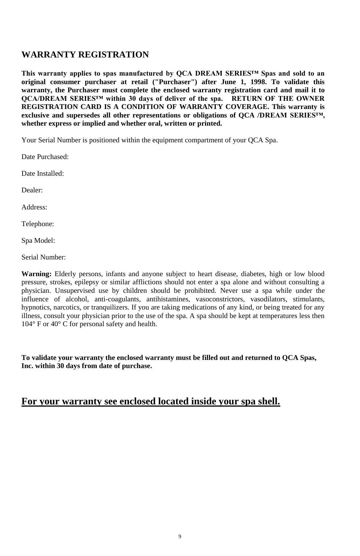9

# **WARRANTY REGISTRATION**

**This warranty applies to spas manufactured by QCA DREAM SERIES™ Spas and sold to an original consumer purchaser at retail ("Purchaser") after June 1, 1998. To validate this warranty, the Purchaser must complete the enclosed warranty registration card and mail it to QCA/DREAM SERIES™ within 30 days of deliver of the spa. RETURN OF THE OWNER REGISTRATION CARD IS A CONDITION OF WARRANTY COVERAGE. This warranty is exclusive and supersedes all other representations or obligations of QCA /DREAM SERIES™, whether express or implied and whether oral, written or printed.**

Your Serial Number is positioned within the equipment compartment of your QCA Spa.

Date Purchased:

Date Installed:

Dealer:

Address:

Telephone:

Spa Model:

Serial Number:

**Warning:** Elderly persons, infants and anyone subject to heart disease, diabetes, high or low blood pressure, strokes, epilepsy or similar afflictions should not enter a spa alone and without consulting a physician. Unsupervised use by children should be prohibited. Never use a spa while under the influence of alcohol, anti-coagulants, antihistamines, vasoconstrictors, vasodilators, stimulants, hypnotics, narcotics, or tranquilizers. If you are taking medications of any kind, or being treated for any illness, consult your physician prior to the use of the spa. A spa should be kept at temperatures less then 104° F or 40° C for personal safety and health.

**To validate your warranty the enclosed warranty must be filled out and returned to QCA Spas, Inc. within 30 days from date of purchase.**

# **For your warranty see enclosed located inside your spa shell.**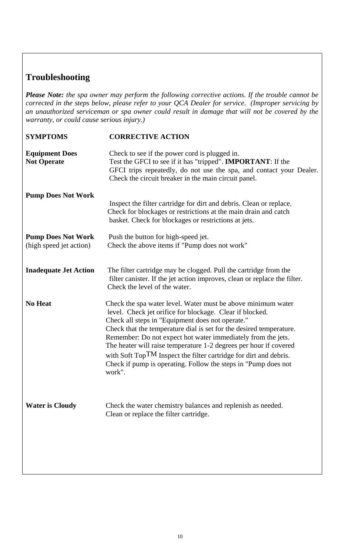# **Troubleshooting**

*Please Note: the spa owner may perform the following corrective actions. If the trouble cannot be corrected in the steps below, please refer to your QCA Dealer for service. (Improper servicing by an unauthorized serviceman or spa owner could result in damage that will not be covered by the warranty, or could cause serious injury.)*

| <b>SYMPTOMS</b>                                      | <b>CORRECTIVE ACTION</b>                                                                                                                                                                                                                                                                                                                                                                                                                                                                                                                   |
|------------------------------------------------------|--------------------------------------------------------------------------------------------------------------------------------------------------------------------------------------------------------------------------------------------------------------------------------------------------------------------------------------------------------------------------------------------------------------------------------------------------------------------------------------------------------------------------------------------|
| <b>Equipment Does</b><br><b>Not Operate</b>          | Check to see if the power cord is plugged in.<br>Test the GFCI to see if it has "tripped". <b>IMPORTANT</b> : If the<br>GFCI trips repeatedly, do not use the spa, and contact your Dealer.<br>Check the circuit breaker in the main circuit panel.                                                                                                                                                                                                                                                                                        |
| <b>Pump Does Not Work</b>                            | Inspect the filter cartridge for dirt and debris. Clean or replace.<br>Check for blockages or restrictions at the main drain and catch<br>basket. Check for blockages or restrictions at jets.                                                                                                                                                                                                                                                                                                                                             |
| <b>Pump Does Not Work</b><br>(high speed jet action) | Push the button for high-speed jet.<br>Check the above items if "Pump does not work"                                                                                                                                                                                                                                                                                                                                                                                                                                                       |
| <b>Inadequate Jet Action</b>                         | The filter cartridge may be clogged. Pull the cartridge from the<br>filter canister. If the jet action improves, clean or replace the filter.<br>Check the level of the water.                                                                                                                                                                                                                                                                                                                                                             |
| <b>No Heat</b>                                       | Check the spa water level. Water must be above minimum water<br>level. Check jet orifice for blockage. Clear if blocked.<br>Check all steps in "Equipment does not operate."<br>Check that the temperature dial is set for the desired temperature.<br>Remember: Do not expect hot water immediately from the jets.<br>The heater will raise temperature 1-2 degrees per hour if covered<br>with Soft TopTM Inspect the filter cartridge for dirt and debris.<br>Check if pump is operating. Follow the steps in "Pump does not"<br>work". |
| <b>Water is Cloudy</b>                               | Check the water chemistry balances and replenish as needed.                                                                                                                                                                                                                                                                                                                                                                                                                                                                                |

Clean or replace the filter cartridge.